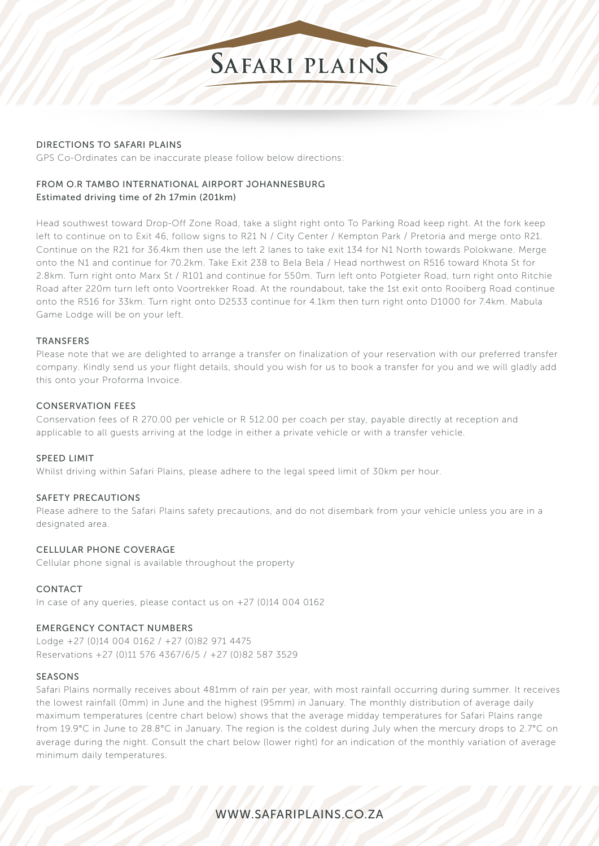

# DIRECTIONS TO SAFARI PLAINS

GPS Co-Ordinates can be inaccurate please follow below directions:

# FROM O.R TAMBO INTERNATIONAL AIRPORT JOHANNESBURG Estimated driving time of 2h 17min (201km)

Head southwest toward Drop-Off Zone Road, take a slight right onto To Parking Road keep right. At the fork keep left to continue on to Exit 46, follow signs to R21 N / City Center / Kempton Park / Pretoria and merge onto R21. Continue on the R21 for 36.4km then use the left 2 lanes to take exit 134 for N1 North towards Polokwane. Merge onto the N1 and continue for 70.2km. Take Exit 238 to Bela Bela / Head northwest on R516 toward Khota St for 2.8km. Turn right onto Marx St / R101 and continue for 550m. Turn left onto Potgieter Road, turn right onto Ritchie Road after 220m turn left onto Voortrekker Road. At the roundabout, take the 1st exit onto Rooiberg Road continue onto the R516 for 33km. Turn right onto D2533 continue for 4.1km then turn right onto D1000 for 7.4km. Mabula Game Lodge will be on your left.

# **TRANSFERS**

Please note that we are delighted to arrange a transfer on finalization of your reservation with our preferred transfer company. Kindly send us your flight details, should you wish for us to book a transfer for you and we will gladly add this onto your Proforma Invoice.

# CONSERVATION FEES

Conservation fees of R 270.00 per vehicle or R 512.00 per coach per stay, payable directly at reception and applicable to all guests arriving at the lodge in either a private vehicle or with a transfer vehicle.

# SPEED LIMIT

Whilst driving within Safari Plains, please adhere to the legal speed limit of 30km per hour.

# SAFETY PRECAUTIONS

Please adhere to the Safari Plains safety precautions, and do not disembark from your vehicle unless you are in a designated area

# CELLULAR PHONE COVERAGE

Cellular phone signal is available throughout the property

# CONTACT

In case of any queries, please contact us on +27 (0)14 004 0162

# EMERGENCY CONTACT NUMBERS

Lodge +27 (0)14 004 0162 / +27 (0)82 971 4475 Reservations +27 (0)11 576 4367/6/5 / +27 (0)82 587 3529

# SEASONS

Safari Plains normally receives about 481mm of rain per year, with most rainfall occurring during summer. It receives the lowest rainfall (0mm) in June and the highest (95mm) in January. The monthly distribution of average daily maximum temperatures (centre chart below) shows that the average midday temperatures for Safari Plains range from 19.9°C in June to 28.8°C in January. The region is the coldest during July when the mercury drops to 2.7°C on average during the night. Consult the chart below (lower right) for an indication of the monthly variation of average minimum daily temperatures.

# WWW.SAFARIPLAINS.CO.ZA